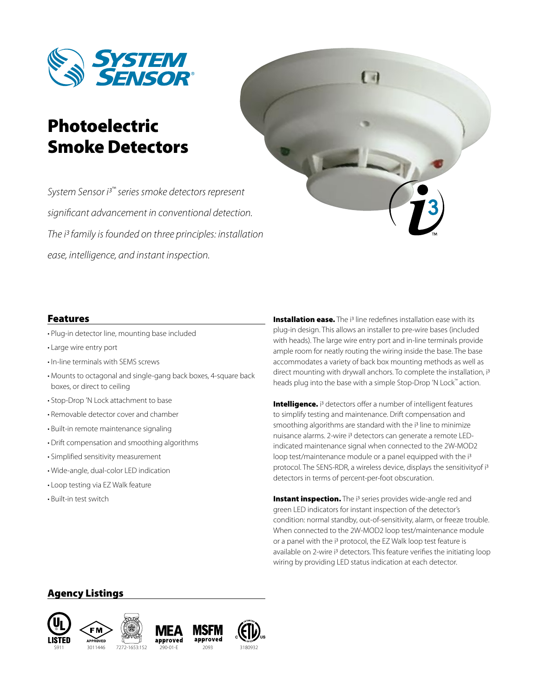

# Photoelectric Smoke Detectors

*System Sensor i3 ™ series smoke detectors represent significant advancement in conventional detection. The i3 family is founded on three principles: installation ease, intelligence, and instant inspection.*



## Features

- Plug-in detector line, mounting base included
- • Large wire entry port
- • In-line terminals with SEMS screws
- • Mounts to octagonal and single-gang back boxes, 4-square back boxes, or direct to ceiling
- Stop-Drop 'N Lock attachment to base
- • Removable detector cover and chamber
- • Built-in remote maintenance signaling
- • Drift compensation and smoothing algorithms
- • Simplified sensitivity measurement
- • Wide-angle, dual-color LED indication
- • Loop testing via EZ Walk feature
- • Built-in test switch

**Installation ease.** The i<sup>3</sup> line redefines installation ease with its plug-in design. This allows an installer to pre-wire bases (included with heads). The large wire entry port and in-line terminals provide ample room for neatly routing the wiring inside the base. The base accommodates a variety of back box mounting methods as well as direct mounting with drywall anchors. To complete the installation, i3 heads plug into the base with a simple Stop-Drop 'N Lock™ action.

**Intelligence.** i<sup>3</sup> detectors offer a number of intelligent features to simplify testing and maintenance. Drift compensation and smoothing algorithms are standard with the <sup>13</sup> line to minimize nuisance alarms. 2-wire i3 detectors can generate a remote LEDindicated maintenance signal when connected to the 2W-MOD2 loop test/maintenance module or a panel equipped with the i<sup>3</sup> protocol. The SENS-RDR, a wireless device, displays the sensitivityof i3 detectors in terms of percent-per-foot obscuration.

**Instant inspection.** The i<sup>3</sup> series provides wide-angle red and green LED indicators for instant inspection of the detector's condition: normal standby, out-of-sensitivity, alarm, or freeze trouble. When connected to the 2W-MOD2 loop test/maintenance module or a panel with the i<sup>3</sup> protocol, the EZ Walk loop test feature is available on 2-wire i<sup>3</sup> detectors. This feature verifies the initiating loop wiring by providing LED status indication at each detector.

# Agency Listings